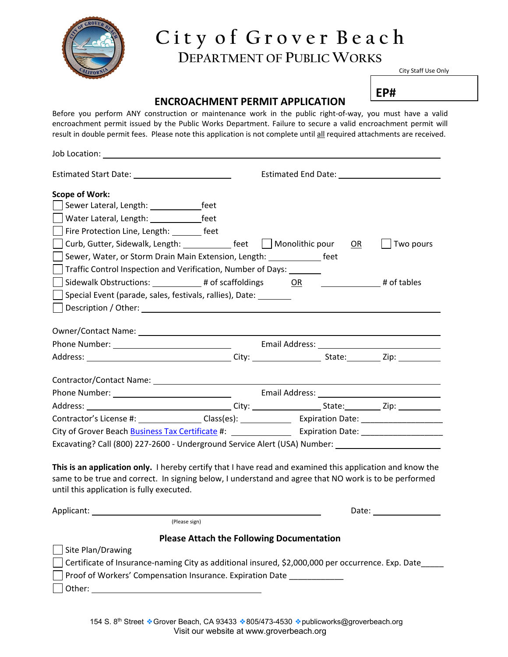

## **C i t y o f G r o v e r B e a c h DEPARTMENT OF PUBLIC WORKS**

City Staff Use Only

### **EP#**

### **ENCROACHMENT PERMIT APPLICATION**

Before you perform ANY construction or maintenance work in the public right-of-way, you must have a valid encroachment permit issued by the Public Works Department. Failure to secure a valid encroachment permit will result in double permit fees. Please note this application is not complete until all required attachments are received.

| Estimated End Date: The Contract of the Contract of the Contract of the Contract of the Contract of the Contract of the Contract of the Contract of the Contract of the Contract of the Contract of the Contract of the Contra |  |  |  |  |  |  |
|--------------------------------------------------------------------------------------------------------------------------------------------------------------------------------------------------------------------------------|--|--|--|--|--|--|
|                                                                                                                                                                                                                                |  |  |  |  |  |  |
|                                                                                                                                                                                                                                |  |  |  |  |  |  |
|                                                                                                                                                                                                                                |  |  |  |  |  |  |
|                                                                                                                                                                                                                                |  |  |  |  |  |  |
| Curb, Gutter, Sidewalk, Length: feet Monolithic pour OR<br>Two pours                                                                                                                                                           |  |  |  |  |  |  |
| Sewer, Water, or Storm Drain Main Extension, Length: ______________ feet                                                                                                                                                       |  |  |  |  |  |  |
| Traffic Control Inspection and Verification, Number of Days: _______                                                                                                                                                           |  |  |  |  |  |  |
| Sidewalk Obstructions: $\begin{array}{ccc} & & \text{# of scaffoldings} \\ & & \text{OR} \end{array}$ or $\begin{array}{ccc} & & \text{# of tables} \\ & & \text{# of tables} \end{array}$                                     |  |  |  |  |  |  |
| Special Event (parade, sales, festivals, rallies), Date:                                                                                                                                                                       |  |  |  |  |  |  |
|                                                                                                                                                                                                                                |  |  |  |  |  |  |
|                                                                                                                                                                                                                                |  |  |  |  |  |  |
|                                                                                                                                                                                                                                |  |  |  |  |  |  |
|                                                                                                                                                                                                                                |  |  |  |  |  |  |
|                                                                                                                                                                                                                                |  |  |  |  |  |  |
|                                                                                                                                                                                                                                |  |  |  |  |  |  |
|                                                                                                                                                                                                                                |  |  |  |  |  |  |
|                                                                                                                                                                                                                                |  |  |  |  |  |  |
|                                                                                                                                                                                                                                |  |  |  |  |  |  |
|                                                                                                                                                                                                                                |  |  |  |  |  |  |
| Excavating? Call (800) 227-2600 - Underground Service Alert (USA) Number: _________________________                                                                                                                            |  |  |  |  |  |  |
|                                                                                                                                                                                                                                |  |  |  |  |  |  |
| This is an application only. I hereby certify that I have read and examined this application and know the                                                                                                                      |  |  |  |  |  |  |
| same to be true and correct. In signing below, I understand and agree that NO work is to be performed<br>until this application is fully executed.                                                                             |  |  |  |  |  |  |
|                                                                                                                                                                                                                                |  |  |  |  |  |  |
| Date: the contract of the contract of the contract of the contract of the contract of the contract of the contract of the contract of the contract of the contract of the contract of the contract of the contract of the cont |  |  |  |  |  |  |
|                                                                                                                                                                                                                                |  |  |  |  |  |  |
|                                                                                                                                                                                                                                |  |  |  |  |  |  |

### **Please Attach the Following Documentation**

| <b>TRANGLE ANGELIS CHEMIC I ONO WILLY DOGRITICITY CHEMICITY</b>                                   |  |  |  |
|---------------------------------------------------------------------------------------------------|--|--|--|
| Site Plan/Drawing                                                                                 |  |  |  |
| Certificate of Insurance-naming City as additional insured, \$2,000,000 per occurrence. Exp. Date |  |  |  |
| Proof of Workers' Compensation Insurance. Expiration Date                                         |  |  |  |
| l Other:                                                                                          |  |  |  |